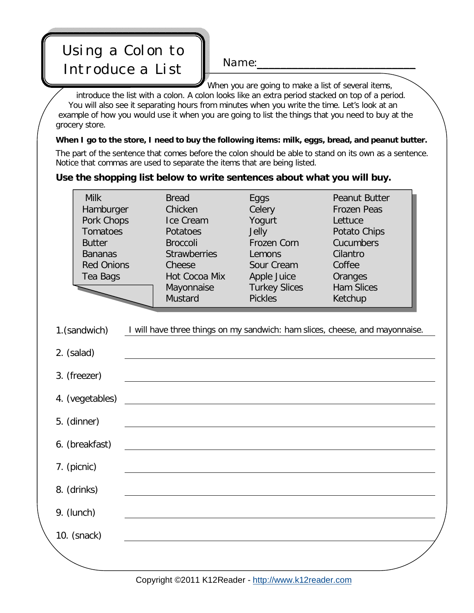## Name:\_\_\_\_\_\_\_\_\_\_\_\_\_\_\_\_\_\_\_\_\_\_\_\_\_\_\_ Using a Colon to Introduce a List

When you are going to make a list of several items, introduce the list with a colon. A colon looks like an extra period stacked on top of a period. You will also see it separating hours from minutes when you write the time. Let's look at an example of how you would use it when you are going to list the things that you need to buy at the grocery store.

*When I go to the store, I need to buy the following items: milk, eggs, bread, and peanut butter.* The part of the sentence that comes before the colon should be able to stand on its own as a sentence. Notice that commas are used to separate the items that are being listed.

## **Use the shopping list below to write sentences about what you will buy.**

| <b>Milk</b>       | <b>Bread</b>        | Eggs                 | <b>Peanut Butter</b> |
|-------------------|---------------------|----------------------|----------------------|
| Hamburger         | Chicken             | Celery               | <b>Frozen Peas</b>   |
| Pork Chops        | Ice Cream           | Yogurt               | Lettuce              |
| Tomatoes          | Potatoes            | Jelly                | Potato Chips         |
| <b>Butter</b>     | <b>Broccoli</b>     | Frozen Corn          | Cucumbers            |
| <b>Bananas</b>    | <b>Strawberries</b> | Lemons               | Cilantro             |
| <b>Red Onions</b> | Cheese              | Sour Cream           | Coffee               |
| Tea Bags          | Hot Cocoa Mix       | Apple Juice          | Oranges              |
|                   | Mayonnaise          | <b>Turkey Slices</b> | <b>Ham Slices</b>    |
|                   | Mustard             | <b>Pickles</b>       | Ketchup              |

1.(sandwich) *I will have three things on my sandwich: ham slices, cheese, and mayonnaise.*

| 2. (salad)      |  |
|-----------------|--|
| 3. (freezer)    |  |
| 4. (vegetables) |  |
| 5. (dinner)     |  |
| 6. (breakfast)  |  |
| 7. (picnic)     |  |
| 8. (drinks)     |  |
| 9. (lunch)      |  |
| 10. (snack)     |  |
|                 |  |